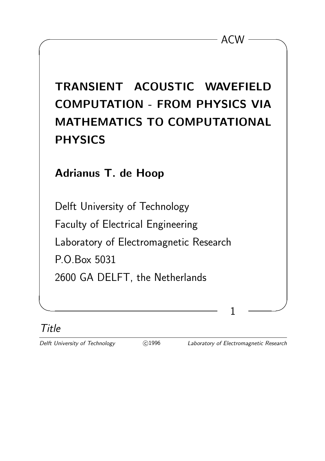| TRANSIENT ACOUSTIC WAVEFIELD          |
|---------------------------------------|
| <b>COMPUTATION - FROM PHYSICS VIA</b> |
| MATHEMATICS TO COMPUTATIONAL          |
| <b>PHYSICS</b>                        |
|                                       |
| <b>Adrianus T. de Hoop</b>            |
|                                       |
| Dolft University of Technology        |

 $\overline{\phantom{a}}$  ACW  $\overline{\phantom{a}}$ 

Delft University of Technology Faculty of Electrical Engineering Laboratory of Electromagnetic Research P.O.Box 5031 2600 GA DELFT, the Netherlands

## Title

✫ ✪

Delft University of Technology **C** 1996 Laboratory of Electromagnetic Research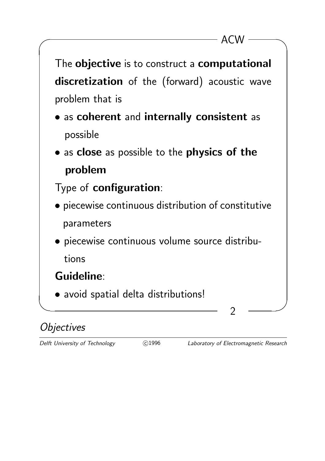

## **Objectives**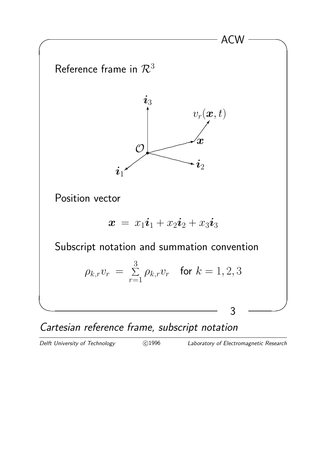

Cartesian reference frame, subscript notation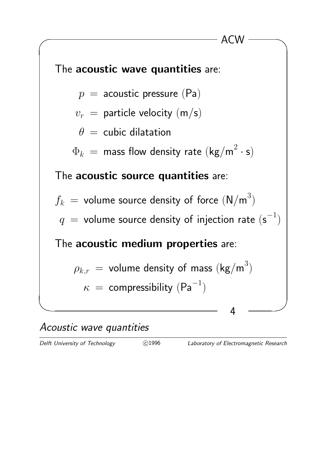

#### Acoustic wave quantities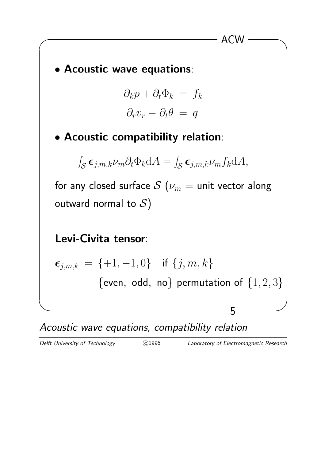

 $\overline{\phantom{a}}$  ACW  $\overline{\phantom{a}}$ 

Acoustic wave equations, compatibility relation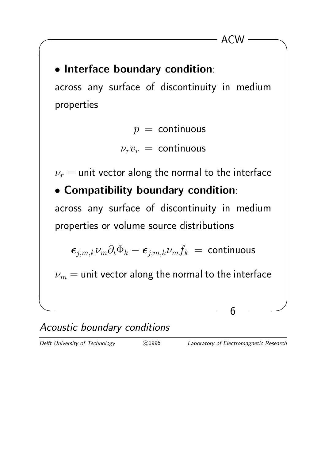# • Interface boundary condition: across any surface of discontinuity in medium

$$
p = \text{continuous}
$$
  

$$
\nu_r \nu_r = \text{continuous}
$$

 $\overline{\phantom{a}}$  ACW  $\overline{\phantom{a}}$ 

 $\nu_r$  = unit vector along the normal to the interface

• Compatibility boundary condition: across any surface of discontinuity in medium properties or volume source distributions

$$
\boldsymbol{\epsilon}_{j,m,k} \nu_m \partial_t \Phi_k - \boldsymbol{\epsilon}_{j,m,k} \nu_m f_k = \text{continuous}
$$

 $\nu_m$  = unit vector along the normal to the interface

✫ ✪

### Acoustic boundary conditions

properties

C<sub>1996</sub> Laboratory of Electromagnetic Research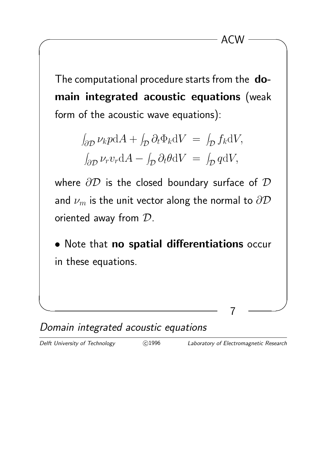The computational procedure starts from the domain integrated acoustic equations (weak form of the acoustic wave equations):

$$
\int_{\partial \mathcal{D}} \nu_k p \, dA + \int_{\mathcal{D}} \partial_t \Phi_k \, dV = \int_{\mathcal{D}} f_k \, dV,
$$

$$
\int_{\partial \mathcal{D}} \nu_r v_r \, dA - \int_{\mathcal{D}} \partial_t \theta \, dV = \int_{\mathcal{D}} q \, dV,
$$

where  $\partial D$  is the closed boundary surface of  $D$ and  $\nu_m$  is the unit vector along the normal to  $\partial \mathcal{D}$ oriented away from D.

• Note that no spatial differentiations occur in these equations.

✫ ✪



Delft University of Technology (c)1996 Laboratory of Electromagnetic Research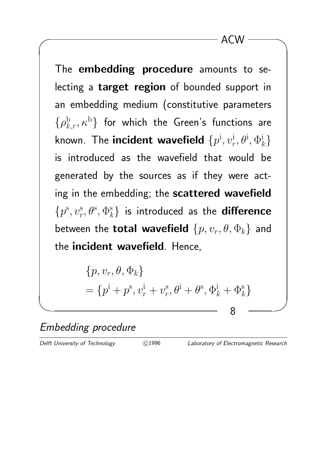The embedding procedure amounts to selecting a target region of bounded support in an embedding medium (constitutive parameters  $\{\rho^{\mathrm{b}}_{k,r},\kappa^{\mathrm{b}}\}$  for which the Green's functions are known. The incident wavefield  $\{p^{\rm i},v_r^{\rm i}\}$  $_{r}^{\mathrm{i}},\theta^{\mathrm{i}},\Phi_{k}^{\mathrm{i}}\}$ is introduced as the wavefield that would be generated by the sources as if they were acting in the embedding; the scattered wavefield  $\{p^{\rm s}, v_r^{\rm s}$  $\{ \boldsymbol{e}_r^{\mathrm{s}}, \theta^{\mathrm{s}}, \Phi^{\mathrm{s}}_k \}$  is introduced as the **difference** between the **total wavefield**  $\{p, v_r, \theta, \Phi_k\}$  and the incident wavefield. Hence,

> $\{p, v_r, \theta, \Phi_k\}$  $= \{p^{\rm i}+p^{\rm s}, v_r^{\rm i}+v_r^{\rm s}$  $\mathbf{e}_r^{\mathrm{s}}, \theta^{\mathrm{i}} + \theta^{\mathrm{s}}, \Phi_k^{\mathrm{i}} + \Phi_k^{\mathrm{s}}$

✫ ✪

Embedding procedure

Delft University of Technology (C)1996 Laboratory of Electromagnetic Research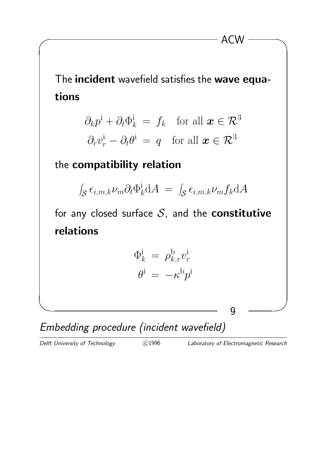The incident wavefield satisfies the wave equations

 $\overline{\phantom{a}}$  ACW  $\overline{\phantom{a}}$ 

$$
\partial_k p^i + \partial_t \Phi^i_k = f_k \text{ for all } \mathbf{x} \in \mathcal{R}^3
$$

$$
\partial_r v^i_r - \partial_t \theta^i = q \text{ for all } \mathbf{x} \in \mathcal{R}^3
$$

#### the compatibility relation

$$
\int_{\mathcal{S}} \epsilon_{i,m,k} \nu_m \partial_t \Phi_k^{\mathbf{i}} dA = \int_{\mathcal{S}} \epsilon_{i,m,k} \nu_m f_k dA
$$

for any closed surface  $S$ , and the **constitutive** relations

$$
\Phi_k^{\text{i}} = \rho_{k,r}^{\text{b}} v_r^{\text{i}}
$$

$$
\theta^{\text{i}} = -\kappa^{\text{b}} p^{\text{i}}
$$

✫ ✪

Embedding procedure (incident wavefield)

Delft University of Technology  $\bigcirc$ 1996 Laboratory of Electromagnetic Research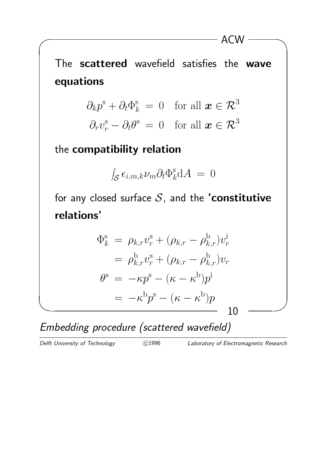The scattered wavefield satisfies the wave equations

 $\overline{\phantom{a}}$  ACW  $\overline{\phantom{a}}$ 

$$
\partial_k p^s + \partial_t \Phi_k^s = 0 \quad \text{for all } \mathbf{x} \in \mathcal{R}^3
$$

$$
\partial_r v_r^s - \partial_t \theta^s = 0 \quad \text{for all } \mathbf{x} \in \mathcal{R}^3
$$

the compatibility relation

$$
\int_{\mathcal{S}} \epsilon_{i,m,k} \nu_m \partial_t \Phi_k^{\rm s} \mathrm{d}A = 0
$$

for any closed surface  $S$ , and the 'constitutive relations'

$$
\Phi_k^s = \rho_{k,r} v_r^s + (\rho_{k,r} - \rho_{k,r}^b) v_r^i
$$
  
\n
$$
= \rho_{k,r}^b v_r^s + (\rho_{k,r} - \rho_{k,r}^b) v_r
$$
  
\n
$$
\theta^s = -\kappa p^s - (\kappa - \kappa^b) p^i
$$
  
\n
$$
= -\kappa^b p^s - (\kappa - \kappa^b) p
$$
  
\n10

Embedding procedure (scattered wavefield)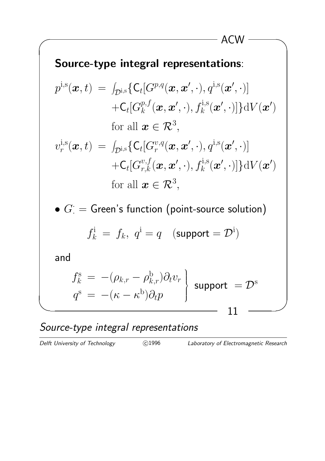### Source-type integral representations:

$$
p^{\text{i},\text{s}}(\boldsymbol{x},t) = \int_{\mathcal{D}^{\text{i},\text{s}}}\{\mathsf{C}_t[G^{p,q}(\boldsymbol{x},\boldsymbol{x}',\cdot),q^{\text{i},\text{s}}(\boldsymbol{x}',\cdot)] + \mathsf{C}_t[G^{p,f}_k(\boldsymbol{x},\boldsymbol{x}',\cdot),f^{\text{i},\text{s}}_k(\boldsymbol{x}',\cdot)]\}dV(\boldsymbol{x}')
$$
  
for all  $\boldsymbol{x} \in \mathcal{R}^3$ ,

 $\overline{\phantom{a}}$  ACW  $\overline{\phantom{a}}$ 

$$
v_r^{i,s}(\boldsymbol{x},t) = \int_{\mathcal{D}^{i,s}} \{ C_t[G_r^{v,q}(\boldsymbol{x},\boldsymbol{x}',\cdot), q^{i,s}(\boldsymbol{x}',\cdot)] + C_t[G_{r,k}^{v,f}(\boldsymbol{x},\boldsymbol{x}',\cdot), f_k^{i,s}(\boldsymbol{x}',\cdot)] \} dV(\boldsymbol{x}')
$$
  
for all  $\boldsymbol{x} \in \mathcal{R}^3$ ,

 $\bullet$   $G^{\cdot}=\mathsf{Green}^{\cdot}$ s function (point-source solution)

$$
f_k^i = f_k, \ q^i = q \quad (\text{support} = \mathcal{D}^i)
$$

and

$$
f_k^s = -(\rho_{k,r} - \rho_{k,r}^b)\partial_t v_r
$$
 support =  $\mathcal{D}^s$   

$$
q^s = -(\kappa - \kappa^b)\partial_t p
$$

## Source-type integral representations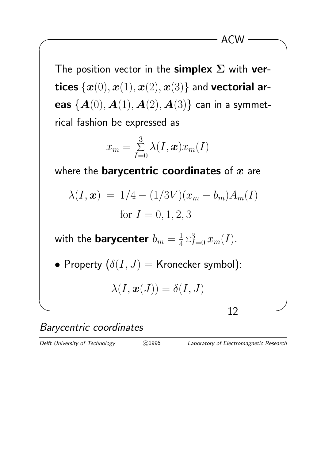The position vector in the simplex  $\Sigma$  with vertices  $\{x(0), x(1), x(2), x(3)\}$  and vectorial areas  ${A(0), A(1), A(2), A(3)}$  can in a symmetrical fashion be expressed as

$$
x_m = \sum_{I=0}^{3} \lambda(I, \boldsymbol{x}) x_m(I)
$$

where the **barycentric coordinates** of  $x$  are

$$
\lambda(I, \mathbf{x}) = 1/4 - (1/3V)(x_m - b_m)A_m(I)
$$
  
for  $I = 0, 1, 2, 3$ 

with the  $\textbf{barycenter} \; b_m = \frac{1}{4}$  $\frac{1}{4} \sum_{I=0}^{3} x_m(I)$ .

• Property 
$$
(\delta(I, J) =
$$
 Kronecker symbol):

$$
\lambda(I,\boldsymbol{x}(J))=\delta(I,J)
$$

✫ ✪

Barycentric coordinates

C<sub>1996</sub> Laboratory of Electromagnetic Research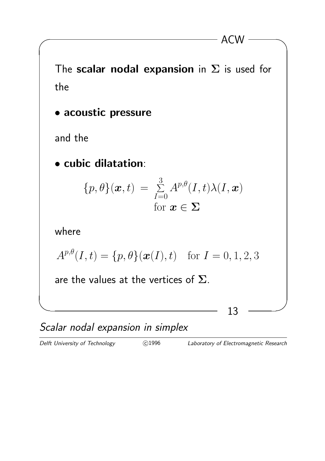The scalar nodal expansion in  $\Sigma$  is used for the

 $\overline{\phantom{a}}$  ACW  $\overline{\phantom{a}}$ 

• acoustic pressure

and the

• cubic dilatation:

$$
\{p,\theta\}(\boldsymbol{x},t) = \sum_{I=0}^{3} A^{p,\theta}(I,t)\lambda(I,\boldsymbol{x})
$$
  
for  $\boldsymbol{x} \in \Sigma$ 

where

$$
A^{p,\theta}(I,t) = \{p,\theta\}(\bm{x}(I),t) \text{ for } I = 0,1,2,3
$$

✫ ✪

are the values at the vertices of  $\Sigma$ .

Scalar nodal expansion in simplex

Delft University of Technology **C** 1996 Laboratory of Electromagnetic Research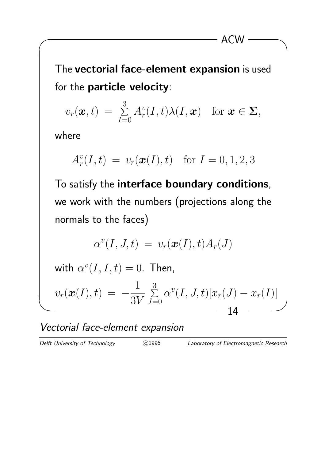The vectorial face-element expansion is used for the particle velocity:

 $\overline{\phantom{a}}$  ACW  $\overline{\phantom{a}}$ 

$$
v_r(\boldsymbol{x},t) = \sum_{I=0}^3 A_r^v(I,t)\lambda(I,\boldsymbol{x}) \text{ for } \boldsymbol{x} \in \boldsymbol{\Sigma},
$$

where

$$
A_r^v(I, t) = v_r(\bm{x}(I), t) \text{ for } I = 0, 1, 2, 3
$$

To satisfy the interface boundary conditions, we work with the numbers (projections along the normals to the faces)

$$
\alpha^v(I,J,t)\ =\ v_r(\boldsymbol{x}(I),t)A_r(J)
$$

with  $\alpha^v(I,I,t) = 0$ . Then,

$$
v_r(\bm{x}(I),t) \ = \ -\frac{1}{3V}\sum_{J=0}^3\alpha^v(I,J,t)[x_r(J)-x_r(I)] \ \boxed{14}
$$

#### Vectorial face-element expansion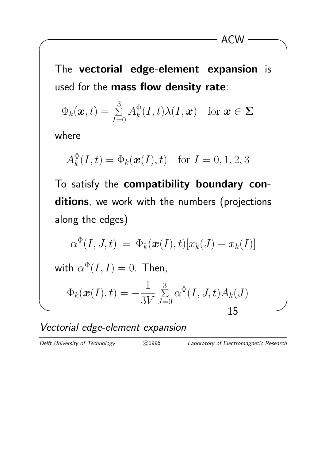The vectorial edge-element expansion is used for the mass flow density rate:

 $\overline{\phantom{a}}$  ACW  $\overline{\phantom{a}}$ 

$$
\Phi_k(\boldsymbol{x},t) = \sum_{I=0}^3 A_k^{\Phi}(I,t)\lambda(I,\boldsymbol{x}) \quad \text{for } \boldsymbol{x} \in \boldsymbol{\Sigma}
$$

where

$$
A_k^{\Phi}(I,t) = \Phi_k(\boldsymbol{x}(I),t) \quad \text{for } I = 0, 1, 2, 3
$$

To satisfy the compatibility boundary conditions, we work with the numbers (projections along the edges)

$$
\alpha^{\Phi}(I,J,t) = \Phi_k(\boldsymbol{x}(I),t)[x_k(J) - x_k(I)]
$$

with  $\alpha^{\Phi}(I,I)=0$ . Then,

$$
\Phi_k(\boldsymbol{x}(I),t) = -\frac{1}{3V} \sum_{J=0}^3 \alpha^{\Phi}(I,J,t) A_k(J)
$$
15

Vectorial edge-element expansion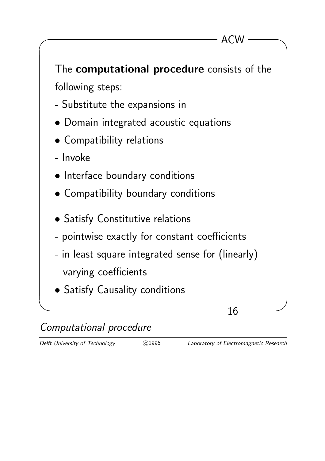

## Computational procedure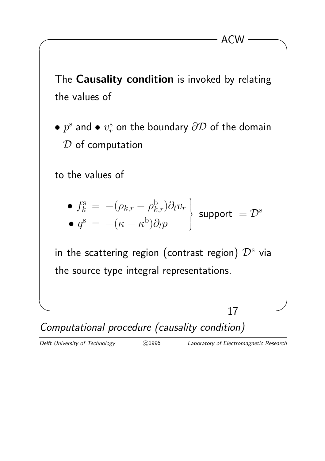The Causality condition is invoked by relating the values of

 $\overline{\phantom{a}}$  ACW  $\overline{\phantom{a}}$ 

 $\bullet$   $p^{\rm s}$  and  $\bullet$   $v_r^{\rm s}$  $\frac{\mathrm{s}}{r}$  on the boundary  $\partial\mathcal{D}$  of the domain  $D$  of computation

to the values of

• 
$$
f_k^s = -(\rho_{k,r} - \rho_{k,r}^b) \partial_t v_r
$$
   
•  $q^s = -(\kappa - \kappa^b) \partial_t p$    
 support =  $\mathcal{D}^s$ 

in the scattering region (contrast region)  $\mathcal{D}^{\mathrm{s}}$  via the source type integral representations.

✫ ✪

Computational procedure (causality condition)

Delft University of Technology  $\bigcirc$ 1996 Laboratory of Electromagnetic Research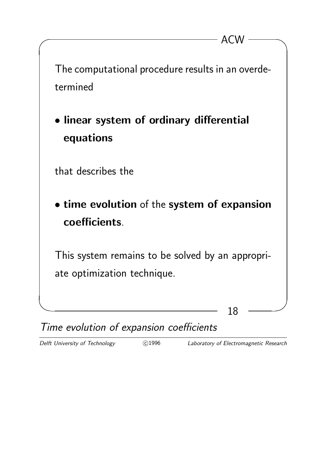